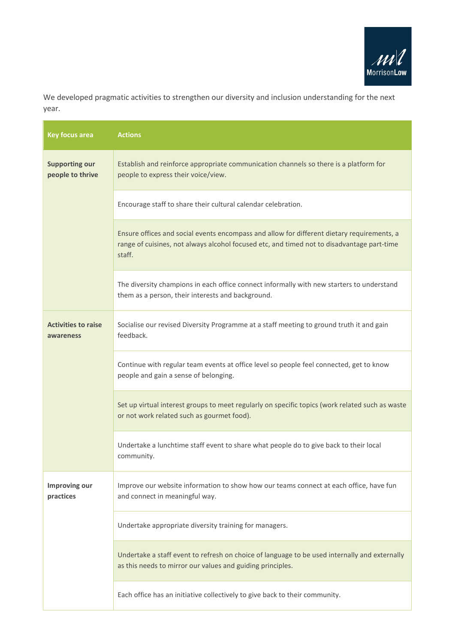

We developed pragmatic activities to strengthen our diversity and inclusion understanding for the next year.

| <b>Key focus area</b>                     | <b>Actions</b>                                                                                                                                                                                     |
|-------------------------------------------|----------------------------------------------------------------------------------------------------------------------------------------------------------------------------------------------------|
| <b>Supporting our</b><br>people to thrive | Establish and reinforce appropriate communication channels so there is a platform for<br>people to express their voice/view.                                                                       |
|                                           | Encourage staff to share their cultural calendar celebration.                                                                                                                                      |
|                                           | Ensure offices and social events encompass and allow for different dietary requirements, a<br>range of cuisines, not always alcohol focused etc, and timed not to disadvantage part-time<br>staff. |
|                                           | The diversity champions in each office connect informally with new starters to understand<br>them as a person, their interests and background.                                                     |
| <b>Activities to raise</b><br>awareness   | Socialise our revised Diversity Programme at a staff meeting to ground truth it and gain<br>feedback.                                                                                              |
|                                           | Continue with regular team events at office level so people feel connected, get to know<br>people and gain a sense of belonging.                                                                   |
|                                           | Set up virtual interest groups to meet regularly on specific topics (work related such as waste<br>or not work related such as gourmet food).                                                      |
|                                           | Undertake a lunchtime staff event to share what people do to give back to their local<br>community.                                                                                                |
| Improving our<br>practices                | Improve our website information to show how our teams connect at each office, have fun<br>and connect in meaningful way.                                                                           |
|                                           | Undertake appropriate diversity training for managers.                                                                                                                                             |
|                                           | Undertake a staff event to refresh on choice of language to be used internally and externally<br>as this needs to mirror our values and guiding principles.                                        |
|                                           | Each office has an initiative collectively to give back to their community.                                                                                                                        |